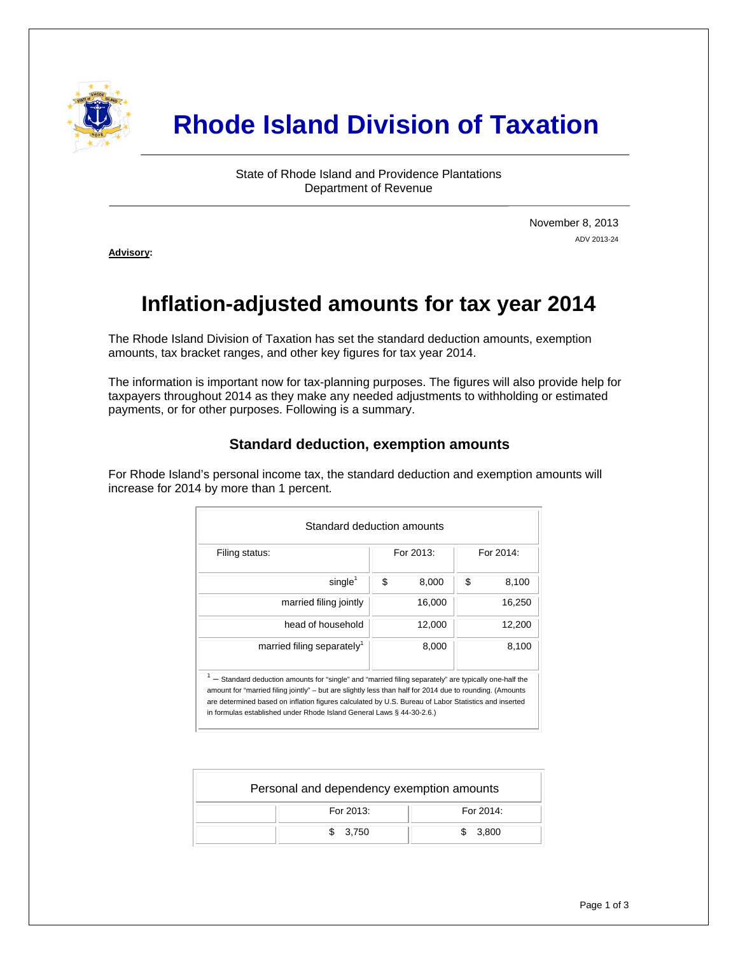

# **Rhode Island Division of Taxation**

State of Rhode Island and Providence Plantations Department of Revenue

> November 8, 2013 ADV 2013-24

**Advisory:** 

j

# **Inflation-adjusted amounts for tax year 2014**

The Rhode Island Division of Taxation has set the standard deduction amounts, exemption amounts, tax bracket ranges, and other key figures for tax year 2014.

The information is important now for tax-planning purposes. The figures will also provide help for taxpayers throughout 2014 as they make any needed adjustments to withholding or estimated payments, or for other purposes. Following is a summary.

## **Standard deduction, exemption amounts**

For Rhode Island's personal income tax, the standard deduction and exemption amounts will increase for 2014 by more than 1 percent.

| Standard deduction amounts                                                                                                                                                                                                                                                                                                                                                                        |    |           |           |        |  |  |  |
|---------------------------------------------------------------------------------------------------------------------------------------------------------------------------------------------------------------------------------------------------------------------------------------------------------------------------------------------------------------------------------------------------|----|-----------|-----------|--------|--|--|--|
| Filing status:                                                                                                                                                                                                                                                                                                                                                                                    |    | For 2013: | For 2014: |        |  |  |  |
| single <sup>1</sup>                                                                                                                                                                                                                                                                                                                                                                               | \$ | 8,000     | \$        | 8,100  |  |  |  |
| married filing jointly                                                                                                                                                                                                                                                                                                                                                                            |    | 16,000    |           | 16,250 |  |  |  |
| head of household                                                                                                                                                                                                                                                                                                                                                                                 |    | 12.000    |           | 12,200 |  |  |  |
| married filing separately <sup>1</sup>                                                                                                                                                                                                                                                                                                                                                            |    | 8,000     |           | 8,100  |  |  |  |
| - Standard deduction amounts for "single" and "married filing separately" are typically one-half the<br>amount for "married filing jointly" – but are slightly less than half for 2014 due to rounding. (Amounts<br>are determined based on inflation figures calculated by U.S. Bureau of Labor Statistics and inserted<br>in formulas established under Rhode Island General Laws § 44-30-2.6.) |    |           |           |        |  |  |  |

| Personal and dependency exemption amounts |           |  |  |  |  |  |  |
|-------------------------------------------|-----------|--|--|--|--|--|--|
| For 2013:                                 | For 2014: |  |  |  |  |  |  |
| \$3.750                                   | 3.800     |  |  |  |  |  |  |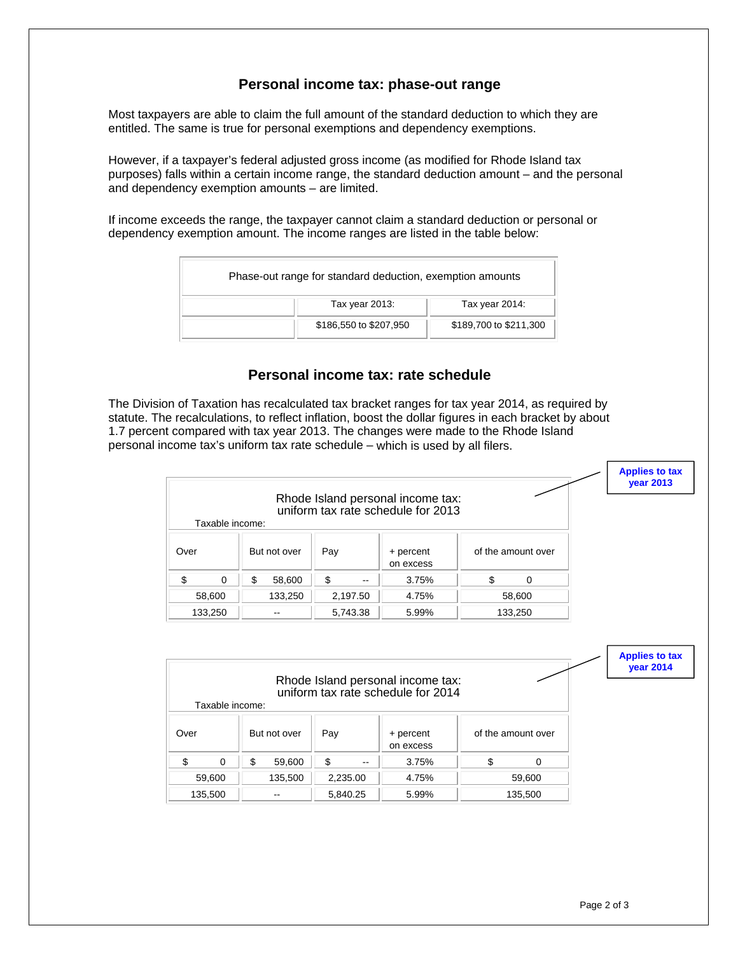#### **Personal income tax: phase-out range**

Most taxpayers are able to claim the full amount of the standard deduction to which they are entitled. The same is true for personal exemptions and dependency exemptions.

However, if a taxpayer's federal adjusted gross income (as modified for Rhode Island tax purposes) falls within a certain income range, the standard deduction amount – and the personal and dependency exemption amounts – are limited.

If income exceeds the range, the taxpayer cannot claim a standard deduction or personal or dependency exemption amount. The income ranges are listed in the table below:

| Phase-out range for standard deduction, exemption amounts |                        |
|-----------------------------------------------------------|------------------------|
| Tax year 2013:                                            | Tax year 2014:         |
| \$186,550 to \$207,950                                    | \$189,700 to \$211,300 |

## **Personal income tax: rate schedule**

The Division of Taxation has recalculated tax bracket ranges for tax year 2014, as required by statute. The recalculations, to reflect inflation, boost the dollar figures in each bracket by about 1.7 percent compared with tax year 2013. The changes were made to the Rhode Island personal income tax's uniform tax rate schedule – which is used by all filers.

|      |                 |                     |         |                        |               |                                                                         |    |                    | <b>Applies to tax</b><br><b>vear 2013</b> |
|------|-----------------|---------------------|---------|------------------------|---------------|-------------------------------------------------------------------------|----|--------------------|-------------------------------------------|
|      | Taxable income: |                     |         |                        |               | Rhode Island personal income tax:<br>uniform tax rate schedule for 2013 |    |                    |                                           |
| Over |                 | Pay<br>But not over |         | + percent<br>on excess |               |                                                                         |    | of the amount over |                                           |
| \$   | 0               | \$                  | 58,600  | S                      | $\sim$ $\sim$ | 3.75%                                                                   | \$ | $\Omega$           |                                           |
|      | 58,600          |                     | 133,250 |                        | 2,197.50      | 4.75%                                                                   |    | 58,600             |                                           |
|      | 133,250         |                     | $- -$   |                        | 5,743.38      | 5.99%                                                                   |    | 133,250            |                                           |

| Taxable income: |              |          | Rhode Island personal income tax:<br>uniform tax rate schedule for 2014 |                    | <b>Applies to tax</b><br><b>vear 2014</b> |
|-----------------|--------------|----------|-------------------------------------------------------------------------|--------------------|-------------------------------------------|
| Over            | But not over | Pay      | + percent<br>on excess                                                  | of the amount over |                                           |
| \$<br>$\Omega$  | \$<br>59,600 | \$<br>-- | 3.75%                                                                   | \$<br>0            |                                           |
| 59,600          | 135,500      | 2,235.00 | 4.75%                                                                   | 59,600             |                                           |
| 135,500         | --           | 5,840.25 | 5.99%                                                                   | 135,500            |                                           |